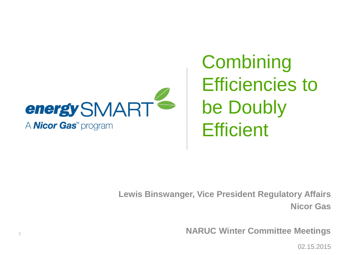

**Combining** Efficiencies to be Doubly **Efficient** 

**Lewis Binswanger, Vice President Regulatory Affairs Nicor Gas**

**NARUC Winter Committee Meetings**

02.15.2015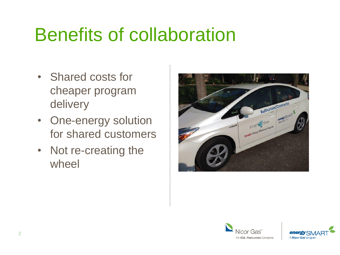### Benefits of collaboration

- Shared costs for cheaper program delivery
- One-energy solution for shared customers
- Not re-creating the wheel





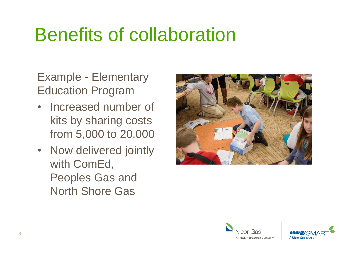### Benefits of collaboration

Example - Elementary Education Program

- Increased number of kits by sharing costs from 5,000 to 20,000
- Now delivered jointly with ComEd, Peoples Gas and North Shore Gas





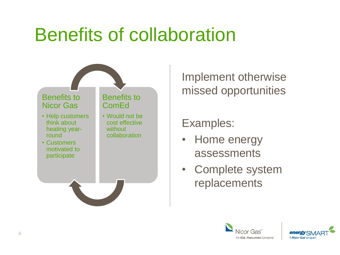### Benefits of collaboration



Implement otherwise missed opportunities

Examples:

- Home energy assessments
- Complete system replacements



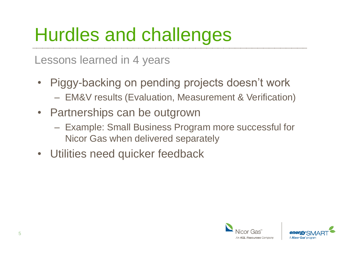# Hurdles and challenges

Lessons learned in 4 years

- Piggy-backing on pending projects doesn't work – EM&V results (Evaluation, Measurement & Verification)
- Partnerships can be outgrown
	- Example: Small Business Program more successful for Nicor Gas when delivered separately
- Utilities need quicker feedback



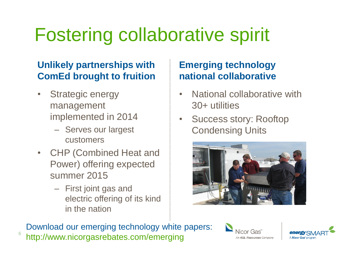# Fostering collaborative spirit

#### **Unlikely partnerships with ComEd brought to fruition**

- Strategic energy management implemented in 2014
	- Serves our largest customers
- CHP (Combined Heat and Power) offering expected summer 2015
	- First joint gas and electric offering of its kind in the nation

#### **Emerging technology national collaborative**

- National collaborative with 30+ utilities
- Success story: Rooftop Condensing Units



Download our emerging technology white papers: http://www.nicorgasrebates.com/emerging <sup>6</sup>



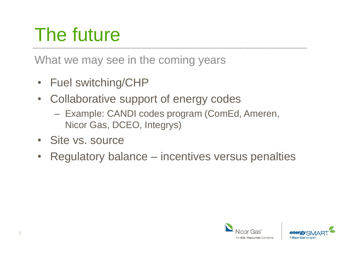# The future

What we may see in the coming years

- Fuel switching/CHP
- Collaborative support of energy codes
	- Example: CANDI codes program (ComEd, Ameren, Nicor Gas, DCEO, Integrys)
- Site vs. source
- Regulatory balance incentives versus penalties



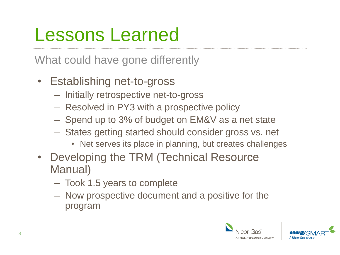### Lessons Learned

What could have gone differently

- Establishing net-to-gross
	- Initially retrospective net-to-gross
	- Resolved in PY3 with a prospective policy
	- Spend up to 3% of budget on EM&V as a net state
	- States getting started should consider gross vs. net
		- Net serves its place in planning, but creates challenges
- Developing the TRM (Technical Resource Manual)
	- Took 1.5 years to complete
	- Now prospective document and a positive for the program



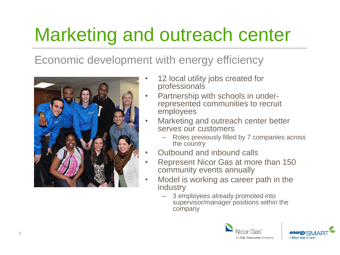# Marketing and outreach center

Economic development with energy efficiency



- 12 local utility jobs created for professionals
- Partnership with schools in underrepresented communities to recruit employees
- Marketing and outreach center better serves our customers
	- Roles previously filled by 7 companies across the country
- Outbound and inbound calls
- Represent Nicor Gas at more than 150 community events annually
- Model is working as career path in the industry
	- 3 employees already promoted into supervisor/manager positions within the company



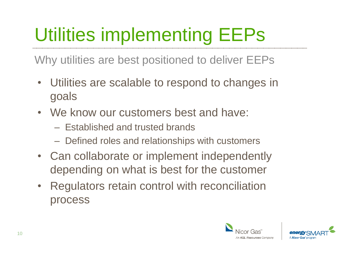# Utilities implementing EEPs

Why utilities are best positioned to deliver EEPs

- Utilities are scalable to respond to changes in goals
- We know our customers best and have:
	- Established and trusted brands
	- Defined roles and relationships with customers
- Can collaborate or implement independently depending on what is best for the customer
- Regulators retain control with reconciliation process